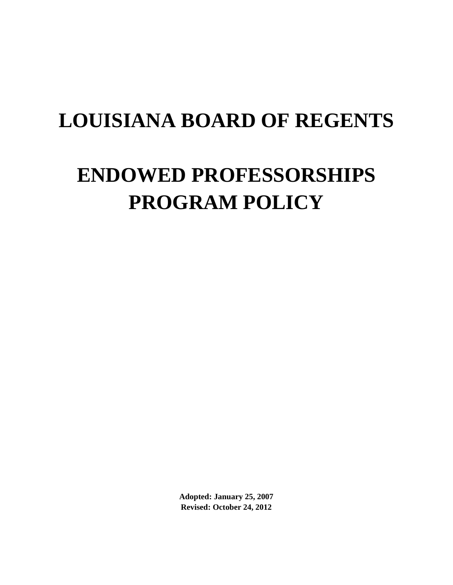# **LOUISIANA BOARD OF REGENTS**

# **ENDOWED PROFESSORSHIPS PROGRAM POLICY**

**Adopted: January 25, 2007 Revised: October 24, 2012**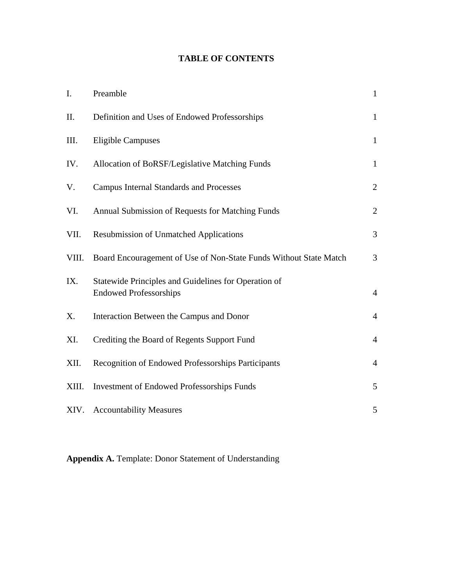# **TABLE OF CONTENTS**

| I.    | Preamble                                                                              | $\mathbf{1}$   |
|-------|---------------------------------------------------------------------------------------|----------------|
| II.   | Definition and Uses of Endowed Professorships                                         | $\mathbf{1}$   |
| III.  | <b>Eligible Campuses</b>                                                              | $\mathbf{1}$   |
| IV.   | Allocation of BoRSF/Legislative Matching Funds                                        | $\mathbf{1}$   |
| V.    | <b>Campus Internal Standards and Processes</b>                                        | $\overline{2}$ |
| VI.   | Annual Submission of Requests for Matching Funds                                      | $\overline{2}$ |
| VII.  | <b>Resubmission of Unmatched Applications</b>                                         | 3              |
| VIII. | Board Encouragement of Use of Non-State Funds Without State Match                     | 3              |
| IX.   | Statewide Principles and Guidelines for Operation of<br><b>Endowed Professorships</b> | $\overline{4}$ |
| X.    | Interaction Between the Campus and Donor                                              | $\overline{4}$ |
| XI.   | Crediting the Board of Regents Support Fund                                           | $\overline{4}$ |
| XII.  | Recognition of Endowed Professorships Participants                                    | $\overline{4}$ |
| XIII. | <b>Investment of Endowed Professorships Funds</b>                                     | 5              |
| XIV.  | <b>Accountability Measures</b>                                                        | 5              |

**Appendix A.** Template: Donor Statement of Understanding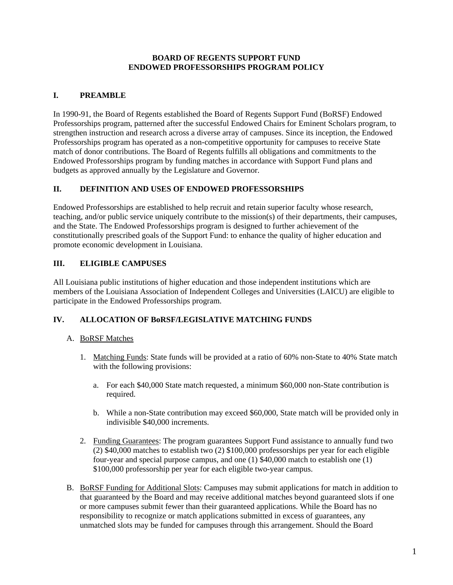#### **BOARD OF REGENTS SUPPORT FUND ENDOWED PROFESSORSHIPS PROGRAM POLICY**

### **I. PREAMBLE**

In 1990-91, the Board of Regents established the Board of Regents Support Fund (BoRSF) Endowed Professorships program, patterned after the successful Endowed Chairs for Eminent Scholars program, to strengthen instruction and research across a diverse array of campuses. Since its inception, the Endowed Professorships program has operated as a non-competitive opportunity for campuses to receive State match of donor contributions. The Board of Regents fulfills all obligations and commitments to the Endowed Professorships program by funding matches in accordance with Support Fund plans and budgets as approved annually by the Legislature and Governor.

#### **II. DEFINITION AND USES OF ENDOWED PROFESSORSHIPS**

Endowed Professorships are established to help recruit and retain superior faculty whose research, teaching, and/or public service uniquely contribute to the mission(s) of their departments, their campuses, and the State. The Endowed Professorships program is designed to further achievement of the constitutionally prescribed goals of the Support Fund: to enhance the quality of higher education and promote economic development in Louisiana.

#### **III. ELIGIBLE CAMPUSES**

All Louisiana public institutions of higher education and those independent institutions which are members of the Louisiana Association of Independent Colleges and Universities (LAICU) are eligible to participate in the Endowed Professorships program.

#### **IV. ALLOCATION OF BoRSF/LEGISLATIVE MATCHING FUNDS**

#### A. BoRSF Matches

- 1. Matching Funds: State funds will be provided at a ratio of 60% non-State to 40% State match with the following provisions:
	- a. For each \$40,000 State match requested, a minimum \$60,000 non-State contribution is required.
	- b. While a non-State contribution may exceed \$60,000, State match will be provided only in indivisible \$40,000 increments.
- 2. Funding Guarantees: The program guarantees Support Fund assistance to annually fund two (2) \$40,000 matches to establish two (2) \$100,000 professorships per year for each eligible four-year and special purpose campus, and one  $(1)$  \$40,000 match to establish one  $(1)$ \$100,000 professorship per year for each eligible two-year campus.
- B. BoRSF Funding for Additional Slots: Campuses may submit applications for match in addition to that guaranteed by the Board and may receive additional matches beyond guaranteed slots if one or more campuses submit fewer than their guaranteed applications. While the Board has no responsibility to recognize or match applications submitted in excess of guarantees, any unmatched slots may be funded for campuses through this arrangement. Should the Board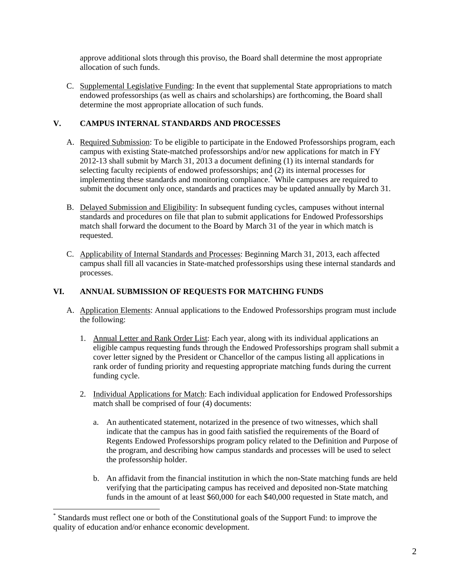approve additional slots through this proviso, the Board shall determine the most appropriate allocation of such funds.

C. Supplemental Legislative Funding: In the event that supplemental State appropriations to match endowed professorships (as well as chairs and scholarships) are forthcoming, the Board shall determine the most appropriate allocation of such funds.

#### **V. CAMPUS INTERNAL STANDARDS AND PROCESSES**

- A. Required Submission: To be eligible to participate in the Endowed Professorships program, each campus with existing State-matched professorships and/or new applications for match in FY 2012-13 shall submit by March 31, 2013 a document defining (1) its internal standards for selecting faculty recipients of endowed professorships; and (2) its internal processes for implementing these standards and monitoring compliance.\* While campuses are required to submit the document only once, standards and practices may be updated annually by March 31.
- B. Delayed Submission and Eligibility: In subsequent funding cycles, campuses without internal standards and procedures on file that plan to submit applications for Endowed Professorships match shall forward the document to the Board by March 31 of the year in which match is requested.
- C. Applicability of Internal Standards and Processes: Beginning March 31, 2013, each affected campus shall fill all vacancies in State-matched professorships using these internal standards and processes.

#### **VI. ANNUAL SUBMISSION OF REQUESTS FOR MATCHING FUNDS**

- A. Application Elements: Annual applications to the Endowed Professorships program must include the following:
	- 1. Annual Letter and Rank Order List: Each year, along with its individual applications an eligible campus requesting funds through the Endowed Professorships program shall submit a cover letter signed by the President or Chancellor of the campus listing all applications in rank order of funding priority and requesting appropriate matching funds during the current funding cycle.
	- 2. Individual Applications for Match: Each individual application for Endowed Professorships match shall be comprised of four (4) documents:
		- a. An authenticated statement, notarized in the presence of two witnesses, which shall indicate that the campus has in good faith satisfied the requirements of the Board of Regents Endowed Professorships program policy related to the Definition and Purpose of the program, and describing how campus standards and processes will be used to select the professorship holder.
		- b. An affidavit from the financial institution in which the non-State matching funds are held verifying that the participating campus has received and deposited non-State matching funds in the amount of at least \$60,000 for each \$40,000 requested in State match, and

<sup>\*</sup> Standards must reflect one or both of the Constitutional goals of the Support Fund: to improve the quality of education and/or enhance economic development.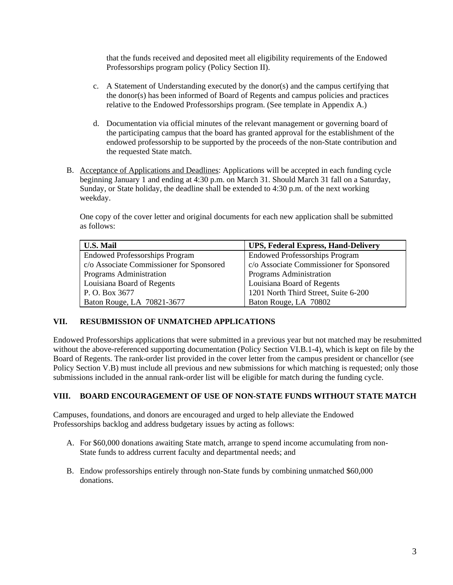that the funds received and deposited meet all eligibility requirements of the Endowed Professorships program policy (Policy Section II).

- c. A Statement of Understanding executed by the donor(s) and the campus certifying that the donor(s) has been informed of Board of Regents and campus policies and practices relative to the Endowed Professorships program. (See template in Appendix A.)
- d. Documentation via official minutes of the relevant management or governing board of the participating campus that the board has granted approval for the establishment of the endowed professorship to be supported by the proceeds of the non-State contribution and the requested State match.
- B. Acceptance of Applications and Deadlines: Applications will be accepted in each funding cycle beginning January 1 and ending at 4:30 p.m. on March 31. Should March 31 fall on a Saturday, Sunday, or State holiday, the deadline shall be extended to 4:30 p.m. of the next working weekday.

One copy of the cover letter and original documents for each new application shall be submitted as follows:

| <b>U.S. Mail</b>                         | <b>UPS, Federal Express, Hand-Delivery</b> |
|------------------------------------------|--------------------------------------------|
| <b>Endowed Professorships Program</b>    | <b>Endowed Professorships Program</b>      |
| c/o Associate Commissioner for Sponsored | c/o Associate Commissioner for Sponsored   |
| Programs Administration                  | Programs Administration                    |
| Louisiana Board of Regents               | Louisiana Board of Regents                 |
| P.O. Box 3677                            | 1201 North Third Street, Suite 6-200       |
| Baton Rouge, LA 70821-3677               | Baton Rouge, LA 70802                      |

#### **VII. RESUBMISSION OF UNMATCHED APPLICATIONS**

Endowed Professorships applications that were submitted in a previous year but not matched may be resubmitted without the above-referenced supporting documentation (Policy Section VI.B.1-4), which is kept on file by the Board of Regents. The rank-order list provided in the cover letter from the campus president or chancellor (see Policy Section V.B) must include all previous and new submissions for which matching is requested; only those submissions included in the annual rank-order list will be eligible for match during the funding cycle.

#### **VIII. BOARD ENCOURAGEMENT OF USE OF NON-STATE FUNDS WITHOUT STATE MATCH**

Campuses, foundations, and donors are encouraged and urged to help alleviate the Endowed Professorships backlog and address budgetary issues by acting as follows:

- A. For \$60,000 donations awaiting State match, arrange to spend income accumulating from non-State funds to address current faculty and departmental needs; and
- B. Endow professorships entirely through non-State funds by combining unmatched \$60,000 donations.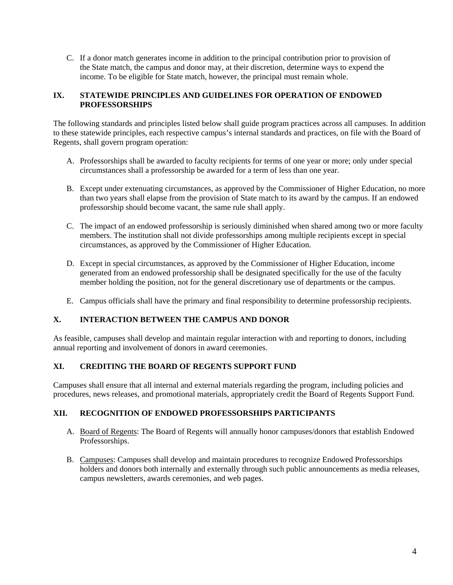C. If a donor match generates income in addition to the principal contribution prior to provision of the State match, the campus and donor may, at their discretion, determine ways to expend the income. To be eligible for State match, however, the principal must remain whole.

#### **IX. STATEWIDE PRINCIPLES AND GUIDELINES FOR OPERATION OF ENDOWED PROFESSORSHIPS**

The following standards and principles listed below shall guide program practices across all campuses. In addition to these statewide principles, each respective campus's internal standards and practices, on file with the Board of Regents, shall govern program operation:

- A. Professorships shall be awarded to faculty recipients for terms of one year or more; only under special circumstances shall a professorship be awarded for a term of less than one year.
- B. Except under extenuating circumstances, as approved by the Commissioner of Higher Education, no more than two years shall elapse from the provision of State match to its award by the campus. If an endowed professorship should become vacant, the same rule shall apply.
- C. The impact of an endowed professorship is seriously diminished when shared among two or more faculty members. The institution shall not divide professorships among multiple recipients except in special circumstances, as approved by the Commissioner of Higher Education.
- D. Except in special circumstances, as approved by the Commissioner of Higher Education, income generated from an endowed professorship shall be designated specifically for the use of the faculty member holding the position, not for the general discretionary use of departments or the campus.
- E. Campus officials shall have the primary and final responsibility to determine professorship recipients.

#### **X. INTERACTION BETWEEN THE CAMPUS AND DONOR**

As feasible, campuses shall develop and maintain regular interaction with and reporting to donors, including annual reporting and involvement of donors in award ceremonies.

#### **XI. CREDITING THE BOARD OF REGENTS SUPPORT FUND**

Campuses shall ensure that all internal and external materials regarding the program, including policies and procedures, news releases, and promotional materials, appropriately credit the Board of Regents Support Fund.

#### **XII. RECOGNITION OF ENDOWED PROFESSORSHIPS PARTICIPANTS**

- A. Board of Regents: The Board of Regents will annually honor campuses/donors that establish Endowed Professorships.
- B. Campuses: Campuses shall develop and maintain procedures to recognize Endowed Professorships holders and donors both internally and externally through such public announcements as media releases, campus newsletters, awards ceremonies, and web pages.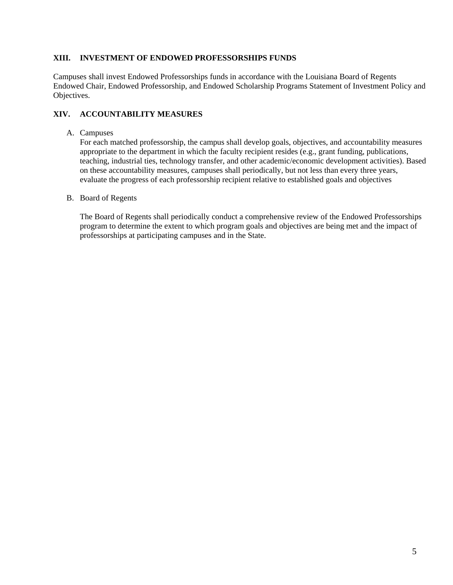#### **XIII. INVESTMENT OF ENDOWED PROFESSORSHIPS FUNDS**

Campuses shall invest Endowed Professorships funds in accordance with the Louisiana Board of Regents Endowed Chair, Endowed Professorship, and Endowed Scholarship Programs Statement of Investment Policy and Objectives.

#### **XIV. ACCOUNTABILITY MEASURES**

A. Campuses

For each matched professorship, the campus shall develop goals, objectives, and accountability measures appropriate to the department in which the faculty recipient resides (e.g., grant funding, publications, teaching, industrial ties, technology transfer, and other academic/economic development activities). Based on these accountability measures, campuses shall periodically, but not less than every three years, evaluate the progress of each professorship recipient relative to established goals and objectives

B. Board of Regents

The Board of Regents shall periodically conduct a comprehensive review of the Endowed Professorships program to determine the extent to which program goals and objectives are being met and the impact of professorships at participating campuses and in the State.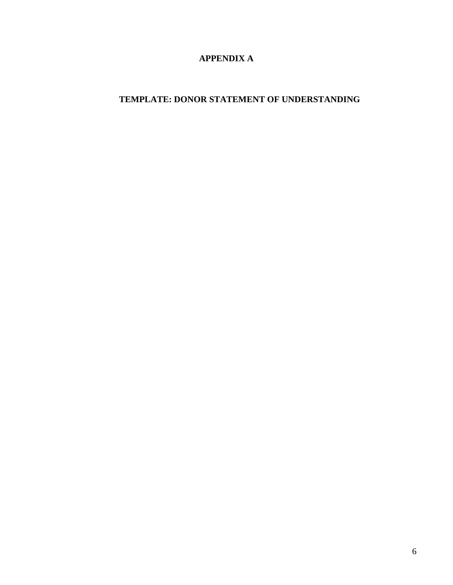# **APPENDIX A**

# **TEMPLATE: DONOR STATEMENT OF UNDERSTANDING**